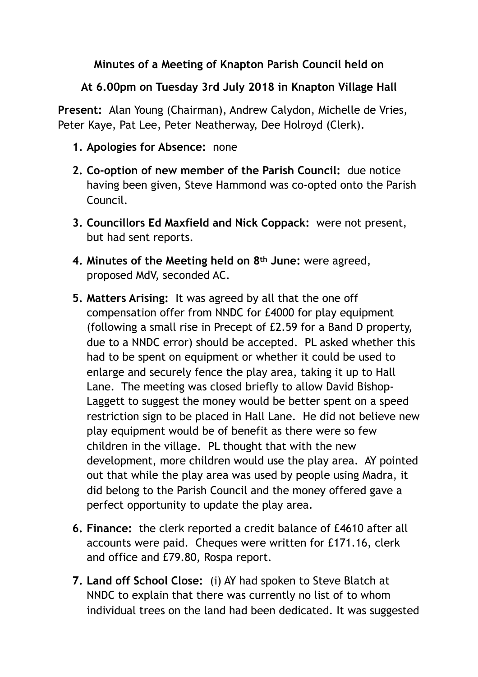## **Minutes of a Meeting of Knapton Parish Council held on**

## **At 6.00pm on Tuesday 3rd July 2018 in Knapton Village Hall**

**Present:** Alan Young (Chairman), Andrew Calydon, Michelle de Vries, Peter Kaye, Pat Lee, Peter Neatherway, Dee Holroyd (Clerk).

- **1. Apologies for Absence:** none
- **2. Co-option of new member of the Parish Council:** due notice having been given, Steve Hammond was co-opted onto the Parish Council.
- **3. Councillors Ed Maxfield and Nick Coppack:** were not present, but had sent reports.
- **4. Minutes of the Meeting held on 8th June:** were agreed, proposed MdV, seconded AC.
- **5. Matters Arising:** It was agreed by all that the one off compensation offer from NNDC for £4000 for play equipment (following a small rise in Precept of £2.59 for a Band D property, due to a NNDC error) should be accepted. PL asked whether this had to be spent on equipment or whether it could be used to enlarge and securely fence the play area, taking it up to Hall Lane. The meeting was closed briefly to allow David Bishop-Laggett to suggest the money would be better spent on a speed restriction sign to be placed in Hall Lane. He did not believe new play equipment would be of benefit as there were so few children in the village. PL thought that with the new development, more children would use the play area. AY pointed out that while the play area was used by people using Madra, it did belong to the Parish Council and the money offered gave a perfect opportunity to update the play area.
- **6. Finance:** the clerk reported a credit balance of £4610 after all accounts were paid. Cheques were written for £171.16, clerk and office and £79.80, Rospa report.
- **7. Land off School Close:** (i) AY had spoken to Steve Blatch at NNDC to explain that there was currently no list of to whom individual trees on the land had been dedicated. It was suggested